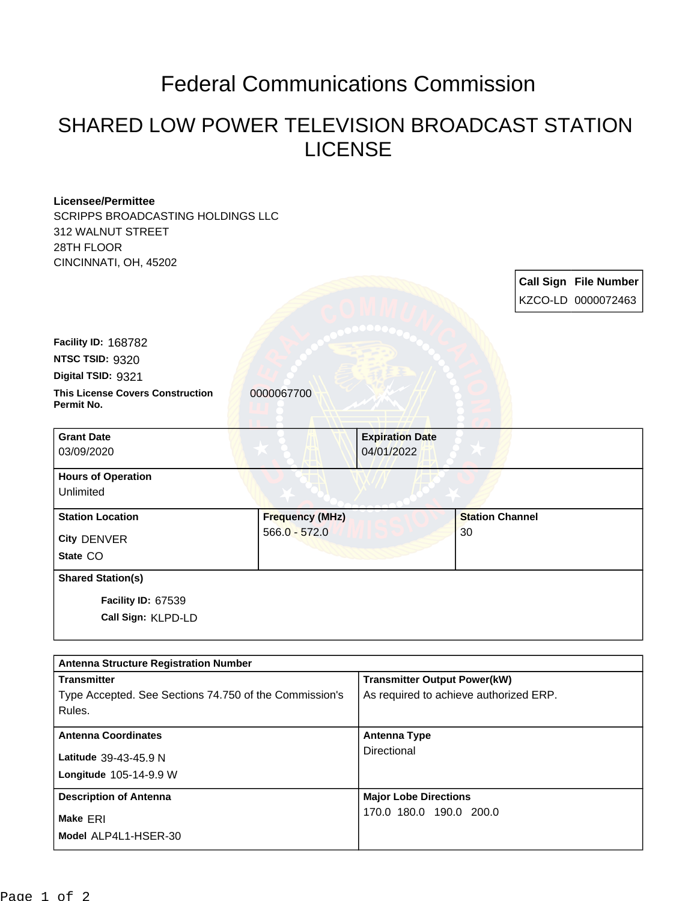## Federal Communications Commission

## SHARED LOW POWER TELEVISION BROADCAST STATION LICENSE

## **Licensee/Permittee** SCRIPPS BROADCASTING HOLDINGS LLC 312 WALNUT STREET 28TH FLOOR CINCINNATI, OH, 45202 **Call Sign File Number** KZCO-LD 0000072463 **This License Covers Construction**  0000067700 **Permit No. Digital TSID:** 9321 **NTSC TSID:** 9320 **Facility ID:** 168782 **Call Sign:** KLPD-LD **Facility ID:** 67539 **State** CO **City** DENVER **Grant Date** 03/09/2020 **Expiration Date** 04/01/2022 **Hours of Operation** Unlimited **Station Location Frequency (MHz)** 566.0 - 572.0 **Station Channel** 30 **Shared Station(s)**

| <b>Antenna Structure Registration Number</b>           |                                        |  |
|--------------------------------------------------------|----------------------------------------|--|
| <b>Transmitter</b>                                     | <b>Transmitter Output Power(kW)</b>    |  |
| Type Accepted. See Sections 74.750 of the Commission's | As required to achieve authorized ERP. |  |
| Rules.                                                 |                                        |  |
| <b>Antenna Coordinates</b>                             | <b>Antenna Type</b>                    |  |
| Latitude 39-43-45.9 N                                  | Directional                            |  |
| <b>Longitude 105-14-9.9 W</b>                          |                                        |  |
|                                                        |                                        |  |
| <b>Description of Antenna</b>                          | <b>Major Lobe Directions</b>           |  |
| Make ERI                                               | 170.0 180.0 190.0 200.0                |  |
| Model ALP4L1-HSER-30                                   |                                        |  |
|                                                        |                                        |  |